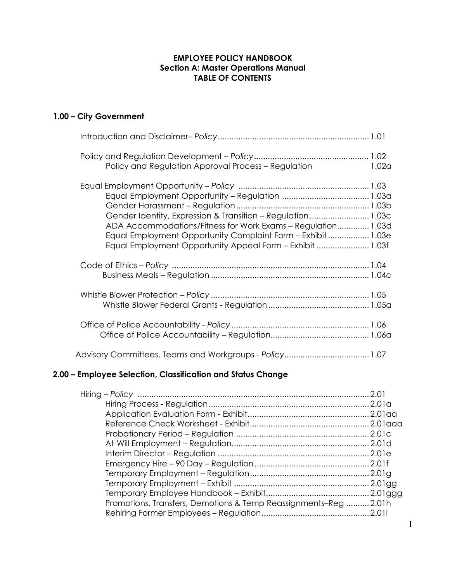### 1.00 – City Government

| Policy and Regulation Approval Process – Regulation                                                                                                                                                                                                     | 1.02a |
|---------------------------------------------------------------------------------------------------------------------------------------------------------------------------------------------------------------------------------------------------------|-------|
| Gender Identity, Expression & Transition - Regulation1.03c<br>ADA Accommodations/Fitness for Work Exams - Regulation 1.03d<br>Equal Employment Opportunity Complaint Form - Exhibit  1.03e<br>Equal Employment Opportunity Appeal Form - Exhibit  1.03f |       |
|                                                                                                                                                                                                                                                         |       |
|                                                                                                                                                                                                                                                         |       |
|                                                                                                                                                                                                                                                         |       |
|                                                                                                                                                                                                                                                         |       |

### 2.00 – Employee Selection, Classification and Status Change

| Promotions, Transfers, Demotions & Temp Reassignments–Reg2.01h |  |
|----------------------------------------------------------------|--|
|                                                                |  |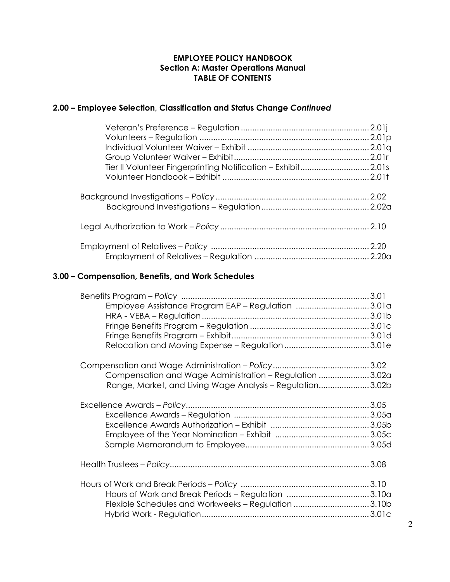# 2.00 – Employee Selection, Classification and Status Change Continued

## 3.00 – Compensation, Benefits, and Work Schedules

| Employee Assistance Program EAP - Regulation 3.01a        |  |
|-----------------------------------------------------------|--|
|                                                           |  |
|                                                           |  |
|                                                           |  |
|                                                           |  |
|                                                           |  |
|                                                           |  |
| Compensation and Wage Administration - Regulation 3.02a   |  |
| Range, Market, and Living Wage Analysis - Regulation3.02b |  |
|                                                           |  |
|                                                           |  |
|                                                           |  |
|                                                           |  |
|                                                           |  |
|                                                           |  |
|                                                           |  |
|                                                           |  |
| Flexible Schedules and Workweeks - Regulation 3.10b       |  |
|                                                           |  |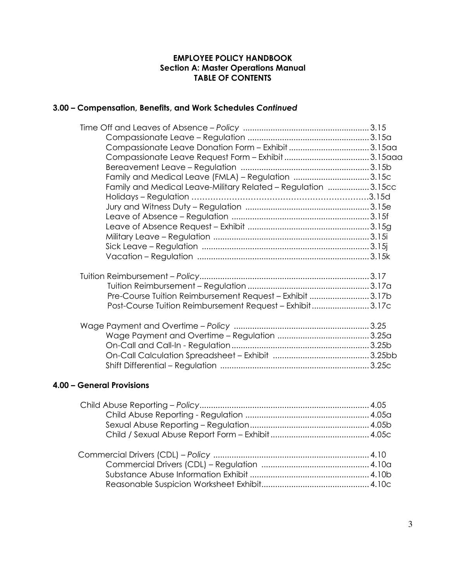# 3.00 – Compensation, Benefits, and Work Schedules Continued

| Family and Medical Leave (FMLA) - Regulation 3.15c            |  |
|---------------------------------------------------------------|--|
| Family and Medical Leave-Military Related - Regulation 3.15cc |  |
|                                                               |  |
|                                                               |  |
|                                                               |  |
|                                                               |  |
|                                                               |  |
|                                                               |  |
|                                                               |  |
|                                                               |  |
|                                                               |  |
|                                                               |  |
| Pre-Course Tuition Reimbursement Request - Exhibit 3.17b      |  |
| Post-Course Tuition Reimbursement Request - Exhibit3.17c      |  |
|                                                               |  |
|                                                               |  |
|                                                               |  |
|                                                               |  |
|                                                               |  |
|                                                               |  |

### 4.00 – General Provisions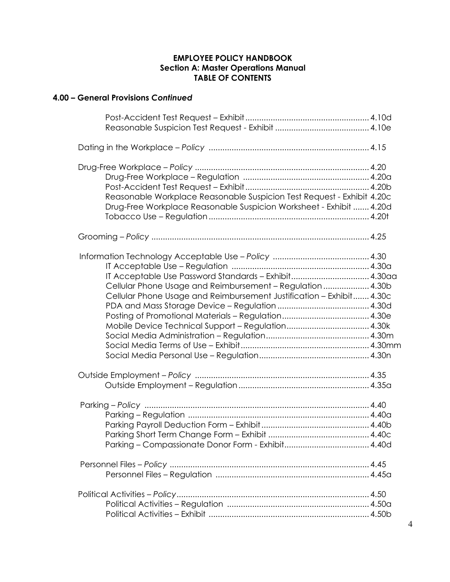# 4.00 – General Provisions Continued

| Reasonable Workplace Reasonable Suspicion Test Request - Exhibit 4.20c<br>Drug-Free Workplace Reasonable Suspicion Worksheet - Exhibit  4.20d                                               |  |
|---------------------------------------------------------------------------------------------------------------------------------------------------------------------------------------------|--|
| Grooming – Policy …………………………………………………………………………………… 4.25                                                                                                                                     |  |
| IT Acceptable Use Password Standards - Exhibit 4.30aa<br>Cellular Phone Usage and Reimbursement - Regulation  4.30b<br>Cellular Phone Usage and Reimbursement Justification - Exhibit 4.30c |  |
|                                                                                                                                                                                             |  |
|                                                                                                                                                                                             |  |
|                                                                                                                                                                                             |  |
|                                                                                                                                                                                             |  |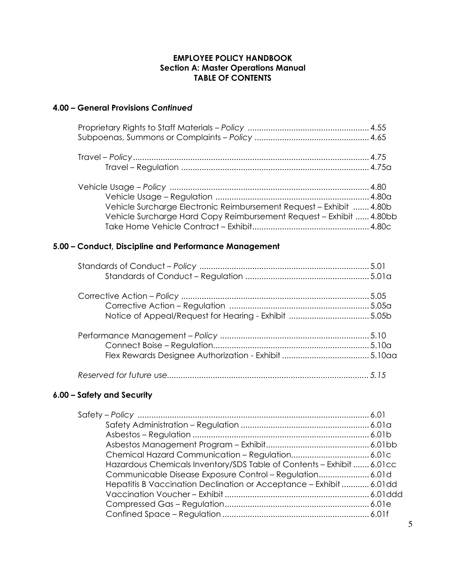### 4.00 – General Provisions Continued

| Vehicle Surcharge Electronic Reimbursement Request - Exhibit  4.80b |  |
|---------------------------------------------------------------------|--|
| Vehicle Surcharge Hard Copy Reimbursement Request - Exhibit  4.80bb |  |
|                                                                     |  |

### 5.00 – Conduct, Discipline and Performance Management

# 6.00 – Safety and Security

| Hazardous Chemicals Inventory/SDS Table of Contents - Exhibit  6.01cc |  |
|-----------------------------------------------------------------------|--|
| Communicable Disease Exposure Control - Regulation 6.01d              |  |
| Hepatitis B Vaccination Declination or Acceptance - Exhibit  6.01dd   |  |
|                                                                       |  |
|                                                                       |  |
|                                                                       |  |
|                                                                       |  |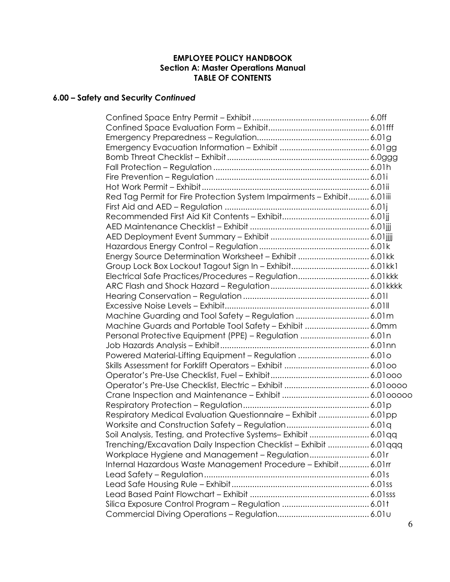# 6.00 – Safety and Security Continued

| Red Tag Permit for Fire Protection System Impairments - Exhibit 6.01iii |  |
|-------------------------------------------------------------------------|--|
|                                                                         |  |
|                                                                         |  |
|                                                                         |  |
|                                                                         |  |
|                                                                         |  |
| Energy Source Determination Worksheet - Exhibit  6.01kk                 |  |
|                                                                         |  |
| Electrical Safe Practices/Procedures - Regulation 6.01kkk               |  |
|                                                                         |  |
|                                                                         |  |
|                                                                         |  |
| Machine Guarding and Tool Safety - Regulation  6.01m                    |  |
| Machine Guards and Portable Tool Safety - Exhibit  6.0mm                |  |
| Personal Protective Equipment (PPE) - Regulation  6.01n                 |  |
|                                                                         |  |
| Powered Material-Lifting Equipment - Regulation  6.010                  |  |
|                                                                         |  |
|                                                                         |  |
|                                                                         |  |
|                                                                         |  |
|                                                                         |  |
| Respiratory Medical Evaluation Questionnaire - Exhibit  6.01pp          |  |
|                                                                         |  |
| Soil Analysis, Testing, and Protective Systems-Exhibit  6.01qq          |  |
| Trenching/Excavation Daily Inspection Checklist - Exhibit  6.01 qqq     |  |
| Workplace Hygiene and Management - Regulation 6.01r                     |  |
| Internal Hazardous Waste Management Procedure - Exhibit 6.01rr          |  |
|                                                                         |  |
|                                                                         |  |
|                                                                         |  |
|                                                                         |  |
|                                                                         |  |